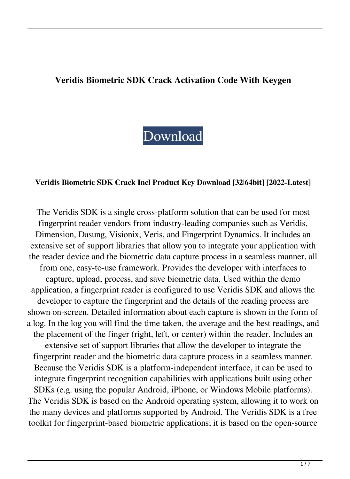# **Veridis Biometric SDK Crack Activation Code With Keygen**

[Download](http://evacdir.com/ZG93bmxvYWR8Zlg4TW1scmJIeDhNVFkxTkRVeU1qRXhNSHg4TWpVNU1IeDhLRTBwSUZkdmNtUndjbVZ6Y3lCYldFMU1VbEJESUZZeUlGQkVSbDA.abramson=noose?fuzhou=sorenstam&greenteeth=reappearance&starfleet=VmVyaWRpcyBCaW9tZXRyaWMgU0RLVmV)

#### **Veridis Biometric SDK Crack Incl Product Key Download [32|64bit] [2022-Latest]**

The Veridis SDK is a single cross-platform solution that can be used for most fingerprint reader vendors from industry-leading companies such as Veridis, Dimension, Dasung, Visionix, Veris, and Fingerprint Dynamics. It includes an extensive set of support libraries that allow you to integrate your application with the reader device and the biometric data capture process in a seamless manner, all from one, easy-to-use framework. Provides the developer with interfaces to capture, upload, process, and save biometric data. Used within the demo application, a fingerprint reader is configured to use Veridis SDK and allows the developer to capture the fingerprint and the details of the reading process are shown on-screen. Detailed information about each capture is shown in the form of a log. In the log you will find the time taken, the average and the best readings, and the placement of the finger (right, left, or center) within the reader. Includes an extensive set of support libraries that allow the developer to integrate the fingerprint reader and the biometric data capture process in a seamless manner. Because the Veridis SDK is a platform-independent interface, it can be used to integrate fingerprint recognition capabilities with applications built using other SDKs (e.g. using the popular Android, iPhone, or Windows Mobile platforms). The Veridis SDK is based on the Android operating system, allowing it to work on the many devices and platforms supported by Android. The Veridis SDK is a free toolkit for fingerprint-based biometric applications; it is based on the open-source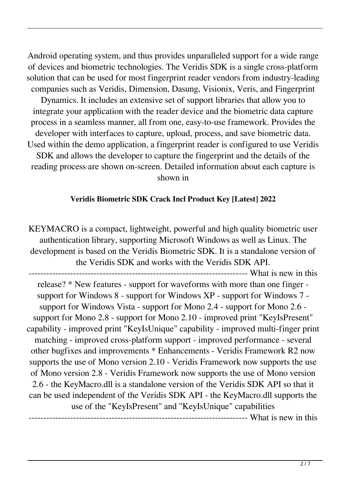Android operating system, and thus provides unparalleled support for a wide range of devices and biometric technologies. The Veridis SDK is a single cross-platform solution that can be used for most fingerprint reader vendors from industry-leading companies such as Veridis, Dimension, Dasung, Visionix, Veris, and Fingerprint Dynamics. It includes an extensive set of support libraries that allow you to integrate your application with the reader device and the biometric data capture process in a seamless manner, all from one, easy-to-use framework. Provides the developer with interfaces to capture, upload, process, and save biometric data. Used within the demo application, a fingerprint reader is configured to use Veridis SDK and allows the developer to capture the fingerprint and the details of the reading process are shown on-screen. Detailed information about each capture is shown in

# **Veridis Biometric SDK Crack Incl Product Key [Latest] 2022**

KEYMACRO is a compact, lightweight, powerful and high quality biometric user authentication library, supporting Microsoft Windows as well as Linux. The development is based on the Veridis Biometric SDK. It is a standalone version of the Veridis SDK and works with the Veridis SDK API. ----------------- What is new in this

release? \* New features - support for waveforms with more than one finger support for Windows 8 - support for Windows XP - support for Windows 7 support for Windows Vista - support for Mono 2.4 - support for Mono 2.6 support for Mono 2.8 - support for Mono 2.10 - improved print "KeyIsPresent" capability - improved print "KeyIsUnique" capability - improved multi-finger print matching - improved cross-platform support - improved performance - several other bugfixes and improvements \* Enhancements - Veridis Framework R2 now supports the use of Mono version 2.10 - Veridis Framework now supports the use of Mono version 2.8 - Veridis Framework now supports the use of Mono version 2.6 - the KeyMacro.dll is a standalone version of the Veridis SDK API so that it can be used independent of the Veridis SDK API - the KeyMacro.dll supports the use of the "KeyIsPresent" and "KeyIsUnique" capabilities

---- What is new in this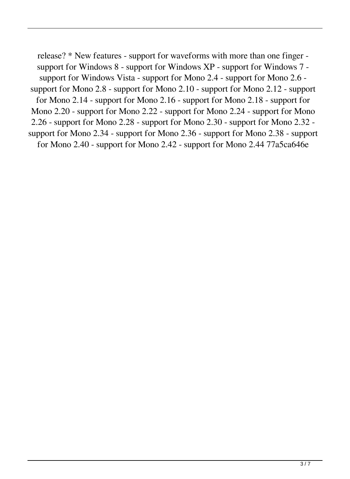release? \* New features - support for waveforms with more than one finger support for Windows 8 - support for Windows XP - support for Windows 7 support for Windows Vista - support for Mono 2.4 - support for Mono 2.6 support for Mono 2.8 - support for Mono 2.10 - support for Mono 2.12 - support for Mono 2.14 - support for Mono 2.16 - support for Mono 2.18 - support for Mono 2.20 - support for Mono 2.22 - support for Mono 2.24 - support for Mono 2.26 - support for Mono 2.28 - support for Mono 2.30 - support for Mono 2.32 support for Mono 2.34 - support for Mono 2.36 - support for Mono 2.38 - support for Mono 2.40 - support for Mono 2.42 - support for Mono 2.44 77a5ca646e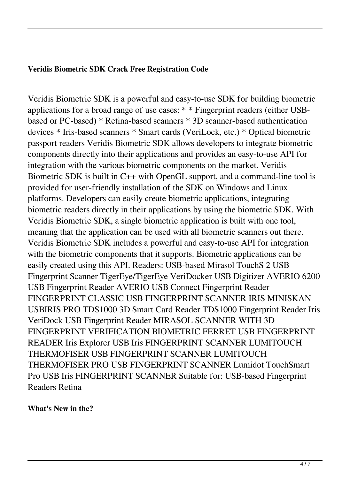### **Veridis Biometric SDK Crack Free Registration Code**

Veridis Biometric SDK is a powerful and easy-to-use SDK for building biometric applications for a broad range of use cases: \* \* Fingerprint readers (either USBbased or PC-based) \* Retina-based scanners \* 3D scanner-based authentication devices \* Iris-based scanners \* Smart cards (VeriLock, etc.) \* Optical biometric passport readers Veridis Biometric SDK allows developers to integrate biometric components directly into their applications and provides an easy-to-use API for integration with the various biometric components on the market. Veridis Biometric SDK is built in C++ with OpenGL support, and a command-line tool is provided for user-friendly installation of the SDK on Windows and Linux platforms. Developers can easily create biometric applications, integrating biometric readers directly in their applications by using the biometric SDK. With Veridis Biometric SDK, a single biometric application is built with one tool, meaning that the application can be used with all biometric scanners out there. Veridis Biometric SDK includes a powerful and easy-to-use API for integration with the biometric components that it supports. Biometric applications can be easily created using this API. Readers: USB-based Mirasol TouchS 2 USB Fingerprint Scanner TigerEye/TigerEye VeriDocker USB Digitizer AVERIO 6200 USB Fingerprint Reader AVERIO USB Connect Fingerprint Reader FINGERPRINT CLASSIC USB FINGERPRINT SCANNER IRIS MINISKAN USBIRIS PRO TDS1000 3D Smart Card Reader TDS1000 Fingerprint Reader Iris VeriDock USB Fingerprint Reader MIRASOL SCANNER WITH 3D FINGERPRINT VERIFICATION BIOMETRIC FERRET USB FINGERPRINT READER Iris Explorer USB Iris FINGERPRINT SCANNER LUMITOUCH THERMOFISER USB FINGERPRINT SCANNER LUMITOUCH THERMOFISER PRO USB FINGERPRINT SCANNER Lumidot TouchSmart Pro USB Iris FINGERPRINT SCANNER Suitable for: USB-based Fingerprint Readers Retina

#### **What's New in the?**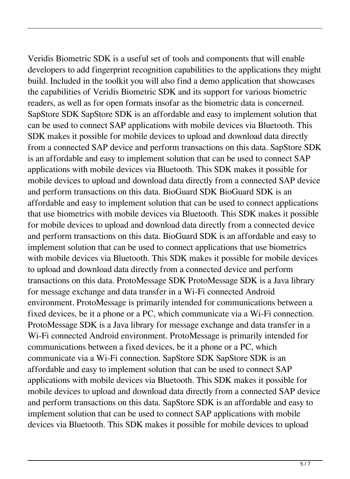Veridis Biometric SDK is a useful set of tools and components that will enable developers to add fingerprint recognition capabilities to the applications they might build. Included in the toolkit you will also find a demo application that showcases the capabilities of Veridis Biometric SDK and its support for various biometric readers, as well as for open formats insofar as the biometric data is concerned. SapStore SDK SapStore SDK is an affordable and easy to implement solution that can be used to connect SAP applications with mobile devices via Bluetooth. This SDK makes it possible for mobile devices to upload and download data directly from a connected SAP device and perform transactions on this data. SapStore SDK is an affordable and easy to implement solution that can be used to connect SAP applications with mobile devices via Bluetooth. This SDK makes it possible for mobile devices to upload and download data directly from a connected SAP device and perform transactions on this data. BioGuard SDK BioGuard SDK is an affordable and easy to implement solution that can be used to connect applications that use biometrics with mobile devices via Bluetooth. This SDK makes it possible for mobile devices to upload and download data directly from a connected device and perform transactions on this data. BioGuard SDK is an affordable and easy to implement solution that can be used to connect applications that use biometrics with mobile devices via Bluetooth. This SDK makes it possible for mobile devices to upload and download data directly from a connected device and perform transactions on this data. ProtoMessage SDK ProtoMessage SDK is a Java library for message exchange and data transfer in a Wi-Fi connected Android environment. ProtoMessage is primarily intended for communications between a fixed devices, be it a phone or a PC, which communicate via a Wi-Fi connection. ProtoMessage SDK is a Java library for message exchange and data transfer in a Wi-Fi connected Android environment. ProtoMessage is primarily intended for communications between a fixed devices, be it a phone or a PC, which communicate via a Wi-Fi connection. SapStore SDK SapStore SDK is an affordable and easy to implement solution that can be used to connect SAP applications with mobile devices via Bluetooth. This SDK makes it possible for mobile devices to upload and download data directly from a connected SAP device and perform transactions on this data. SapStore SDK is an affordable and easy to implement solution that can be used to connect SAP applications with mobile devices via Bluetooth. This SDK makes it possible for mobile devices to upload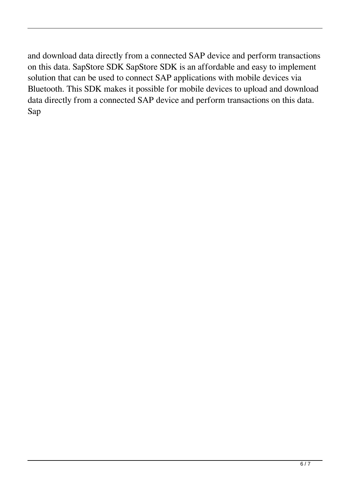and download data directly from a connected SAP device and perform transactions on this data. SapStore SDK SapStore SDK is an affordable and easy to implement solution that can be used to connect SAP applications with mobile devices via Bluetooth. This SDK makes it possible for mobile devices to upload and download data directly from a connected SAP device and perform transactions on this data. Sap